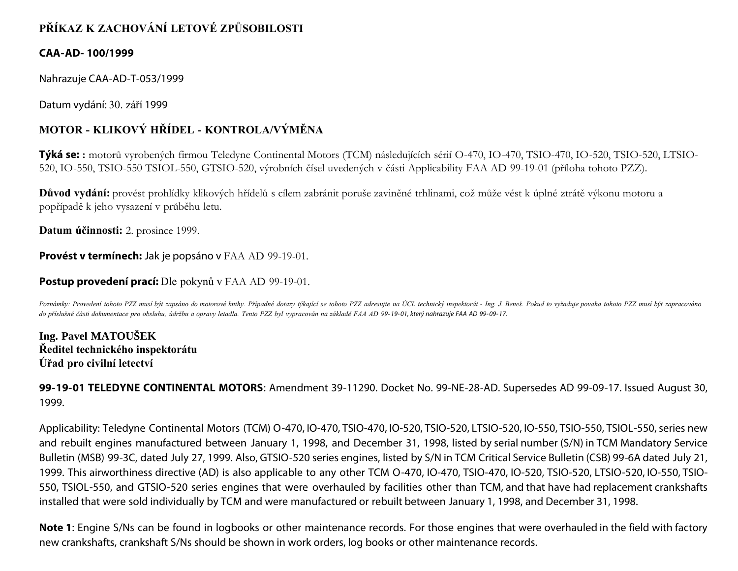# **PŘÍKAZ K ZACHOVÁNÍ LETOVÉ ZPŮSOBILOSTI**

#### **CAA-AD- 100/1999**

Nahrazuje CAA-AD-T-053/1999

Datum vydání: 30. září 1999

## **MOTOR - KLIKOVÝ HŘÍDEL - KONTROLA/VÝMĚNA**

**Týká se: :** motorů vyrobených firmou Teledyne Continental Motors (TCM) následujících sérií O-470, IO-470, TSIO-470, IO-520, TSIO-520, LTSIO-520, IO-550, TSIO-550 TSIOL-550, GTSIO-520, výrobních čísel uvedených v části Applicability FAA AD 99-19-01 (příloha tohoto PZZ).

**Důvod vydání:** provést prohlídky klikových hřídelů s cílem zabránit poruše zaviněné trhlinami, což může vést k úplné ztrátě výkonu motoru a popřípadě k jeho vysazení v průběhu letu.

**Datum účinnosti:** 2. prosince 1999.

#### **Provést v termínech:** Jak je popsáno v FAA AD 99-19-01.

#### **Postup provedení prací:** Dle pokynů v FAA AD 99-19-01.

Poznámky: Provedení tohoto PZZ musí být zapsáno do motorové knihy. Případné dotazy týkající se tohoto PZZ adresujte na ÚCL technický inspektorát - Ing. J. Beneš. Pokud to vyžaduje povaha tohoto PZZ musí být zapracováno *do příslušné části dokumentace pro obsluhu, údržbu a opravy letadla. Tento PZZ byl vypracován na základě FAA AD 99-19- 01, který nahrazuje FAA AD 99- 09- 17.*

**Ing. Pavel MATOUŠEK Ředitel technického inspektorátu Úřad pro civilní letectví**

**99-19-01 TELEDYNE CONTINENTAL MOTORS**: Amendment 39-11290. Docket No. 99-NE-28-AD. Supersedes AD 99-09-17. Issued August 30, 1999.

Applicability: Teledyne Continental Motors (TCM) O-470, IO-470, TSIO-470, IO-520, TSIO-520, LTSIO-520, IO-550, TSIO-550, TSIOL-550, series new and rebuilt engines manufactured between January 1, 1998, and December 31, 1998, listed by serial number (S/N) in TCM Mandatory Service Bulletin (MSB) 99-3C, dated July 27, 1999. Also, GTSIO-520 series engines, listed by S/N in TCM Critical Service Bulletin (CSB) 99-6A dated July 21, 1999. This airworthiness directive (AD) is also applicable to any other TCM O-470, IO-470, TSIO-470, IO-520, TSIO-520, LTSIO-520, IO-550, TSIO-550, TSIOL-550, and GTSIO-520 series engines that were overhauled by facilities other than TCM, and that have had replacement crankshafts installed that were sold individually by TCM and were manufactured or rebuilt between January 1, 1998, and December 31, 1998.

**Note 1**: Engine S/Ns can be found in logbooks or other maintenance records. For those engines that were overhauled in the field with factory new crankshafts, crankshaft S/Ns should be shown in work orders, log books or other maintenance records.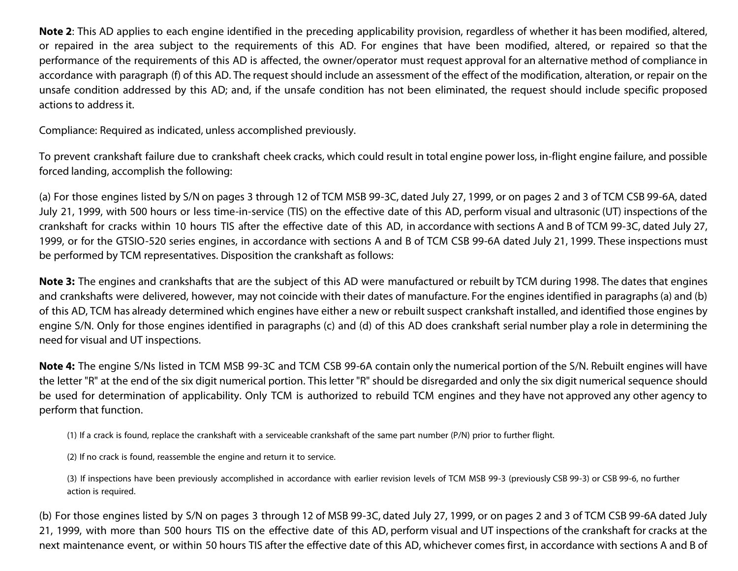**Note 2**: This AD applies to each engine identified in the preceding applicability provision, regardless of whether it has been modified, altered, or repaired in the area subject to the requirements of this AD. For engines that have been modified, altered, or repaired so that the performance of the requirements of this AD is affected, the owner/operator must request approval for an alternative method of compliance in accordance with paragraph (f) of this AD. The request should include an assessment of the effect of the modification, alteration, or repair on the unsafe condition addressed by this AD; and, if the unsafe condition has not been eliminated, the request should include specific proposed actions to address it.

Compliance: Required as indicated, unless accomplished previously.

To prevent crankshaft failure due to crankshaft cheek cracks, which could result in total engine power loss, in-flight engine failure, and possible forced landing, accomplish the following:

(a) For those engines listed by S/N on pages 3 through 12 of TCM MSB 99-3C, dated July 27, 1999, or on pages 2 and 3 of TCM CSB 99-6A, dated July 21, 1999, with 500 hours or less time-in-service (TIS) on the effective date of this AD, perform visual and ultrasonic (UT) inspections of the crankshaft for cracks within 10 hours TIS after the effective date of this AD, in accordance with sections A and B of TCM 99-3C, dated July 27, 1999, or for the GTSIO-520 series engines, in accordance with sections A and B of TCM CSB 99-6A dated July 21, 1999. These inspections must be performed by TCM representatives. Disposition the crankshaft as follows:

**Note 3:** The engines and crankshafts that are the subject of this AD were manufactured or rebuilt by TCM during 1998. The dates that engines and crankshafts were delivered, however, may not coincide with their dates of manufacture. For the engines identified in paragraphs (a) and (b) of this AD, TCM has already determined which engines have either a new or rebuilt suspect crankshaft installed, and identified those engines by engine S/N. Only for those engines identified in paragraphs (c) and (d) of this AD does crankshaft serial number play a role in determining the need for visual and UT inspections.

**Note 4:** The engine S/Ns listed in TCM MSB 99-3C and TCM CSB 99-6A contain only the numerical portion of the S/N. Rebuilt engines will have the letter "R" at the end of the six digit numerical portion. This letter "R" should be disregarded and only the six digit numerical sequence should be used for determination of applicability. Only TCM is authorized to rebuild TCM engines and they have not approved any other agency to perform that function.

(1) If a crack is found, replace the crankshaft with a serviceable crankshaft of the same part number (P/N) prior to further flight.

(2) If no crack is found, reassemble the engine and return it to service.

(3) If inspections have been previously accomplished in accordance with earlier revision levels of TCM MSB 99-3 (previously CSB 99-3) or CSB 99-6, no further action is required.

(b) For those engines listed by S/N on pages 3 through 12 of MSB 99-3C, dated July 27, 1999, or on pages 2 and 3 of TCM CSB 99-6A dated July 21, 1999, with more than 500 hours TIS on the effective date of this AD, perform visual and UT inspections of the crankshaft for cracks at the next maintenance event, or within 50 hours TIS after the effective date of this AD, whichever comes first, in accordance with sections A and B of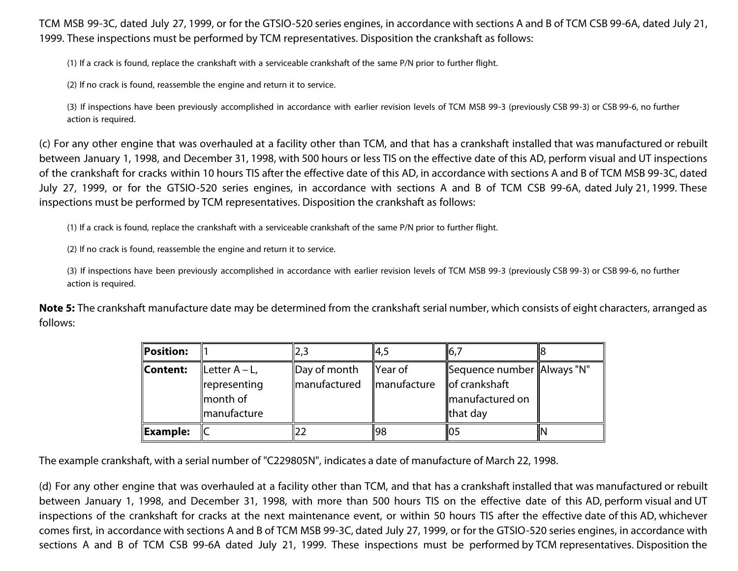TCM MSB 99-3C, dated July 27, 1999, or for the GTSIO-520 series engines, in accordance with sections A and B of TCM CSB 99-6A, dated July 21, 1999. These inspections must be performed by TCM representatives. Disposition the crankshaft as follows:

(1) If a crack is found, replace the crankshaft with a serviceable crankshaft of the same P/N prior to further flight.

(2) If no crack is found, reassemble the engine and return it to service.

(3) If inspections have been previously accomplished in accordance with earlier revision levels of TCM MSB 99-3 (previously CSB 99-3) or CSB 99-6, no further action is required.

(c) For any other engine that was overhauled at a facility other than TCM, and that has a crankshaft installed that was manufactured or rebuilt between January 1, 1998, and December 31, 1998, with 500 hours or less TIS on the effective date of this AD, perform visual and UT inspections of the crankshaft for cracks within 10 hours TIS after the effective date of this AD, in accordance with sections A and B of TCM MSB 99-3C, dated July 27, 1999, or for the GTSIO-520 series engines, in accordance with sections A and B of TCM CSB 99-6A, dated July 21, 1999. These inspections must be performed by TCM representatives. Disposition the crankshaft as follows:

(1) If a crack is found, replace the crankshaft with a serviceable crankshaft of the same P/N prior to further flight.

(2) If no crack is found, reassemble the engine and return it to service.

(3) If inspections have been previously accomplished in accordance with earlier revision levels of TCM MSB 99-3 (previously CSB 99-3) or CSB 99-6, no further action is required.

**Note 5:** The crankshaft manufacture date may be determined from the crankshaft serial number, which consists of eight characters, arranged as follows:

| Position: |                                                             | 2,3                                  | 14,5                               | 16.                                                                           |  |
|-----------|-------------------------------------------------------------|--------------------------------------|------------------------------------|-------------------------------------------------------------------------------|--|
| Content:  | Letter $A - L$ ,<br>representing<br>month of<br>manufacture | Day of month<br><b>Imanufactured</b> | $\parallel$ Year of<br>manufacture | ∥Sequence number   Always "N"<br>of crankshaft<br>manufactured on<br>that day |  |
| Example:  |                                                             |                                      | 198                                | I05                                                                           |  |

The example crankshaft, with a serial number of "C229805N", indicates a date of manufacture of March 22, 1998.

(d) For any other engine that was overhauled at a facility other than TCM, and that has a crankshaft installed that was manufactured or rebuilt between January 1, 1998, and December 31, 1998, with more than 500 hours TIS on the effective date of this AD, perform visual and UT inspections of the crankshaft for cracks at the next maintenance event, or within 50 hours TIS after the effective date of this AD, whichever comes first, in accordance with sections A and B of TCM MSB 99-3C, dated July 27, 1999, or for the GTSIO-520 series engines, in accordance with sections A and B of TCM CSB 99-6A dated July 21, 1999. These inspections must be performed by TCM representatives. Disposition the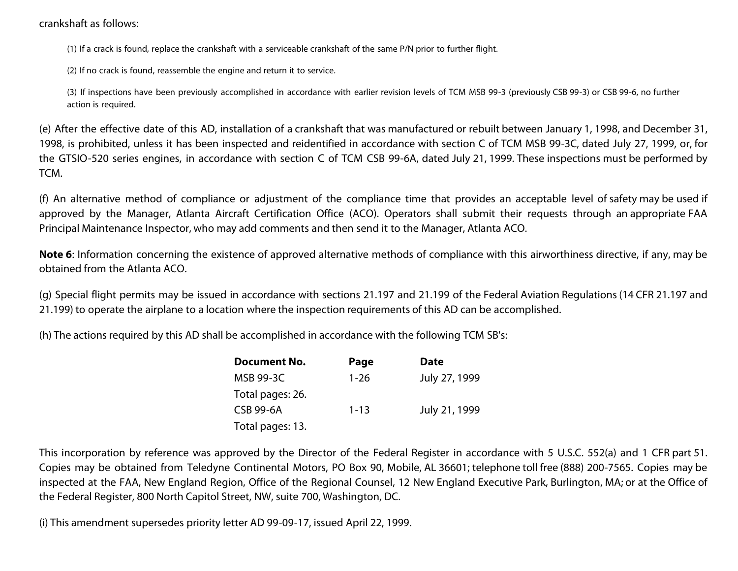#### crankshaft as follows:

(1) If a crack is found, replace the crankshaft with a serviceable crankshaft of the same P/N prior to further flight.

(2) If no crack is found, reassemble the engine and return it to service.

(3) If inspections have been previously accomplished in accordance with earlier revision levels of TCM MSB 99-3 (previously CSB 99-3) or CSB 99-6, no further action is required.

(e) After the effective date of this AD, installation of a crankshaft that was manufactured or rebuilt between January 1, 1998, and December 31, 1998, is prohibited, unless it has been inspected and reidentified in accordance with section C of TCM MSB 99-3C, dated July 27, 1999, or, for the GTSIO-520 series engines, in accordance with section C of TCM CSB 99-6A, dated July 21, 1999. These inspections must be performed by TCM.

(f) An alternative method of compliance or adjustment of the compliance time that provides an acceptable level of safety may be used if approved by the Manager, Atlanta Aircraft Certification Office (ACO). Operators shall submit their requests through an appropriate FAA Principal Maintenance Inspector, who may add comments and then send it to the Manager, Atlanta ACO.

**Note 6**: Information concerning the existence of approved alternative methods of compliance with this airworthiness directive, if any, may be obtained from the Atlanta ACO.

(g) Special flight permits may be issued in accordance with sections 21.197 and 21.199 of the Federal Aviation Regulations (14 CFR 21.197 and 21.199) to operate the airplane to a location where the inspection requirements of this AD can be accomplished.

(h) The actions required by this AD shall be accomplished in accordance with the following TCM SB's:

| Document No.     | Page     | <b>Date</b>   |
|------------------|----------|---------------|
| MSB 99-3C        | 1-26     | July 27, 1999 |
| Total pages: 26. |          |               |
| <b>CSB 99-6A</b> | $1 - 13$ | July 21, 1999 |
| Total pages: 13. |          |               |

This incorporation by reference was approved by the Director of the Federal Register in accordance with 5 U.S.C. 552(a) and 1 CFR part 51. Copies may be obtained from Teledyne Continental Motors, PO Box 90, Mobile, AL 36601; telephone toll free (888) 200-7565. Copies may be inspected at the FAA, New England Region, Office of the Regional Counsel, 12 New England Executive Park, Burlington, MA; or at the Office of the Federal Register, 800 North Capitol Street, NW, suite 700, Washington, DC.

(i) This amendment supersedes priority letter AD 99-09-17, issued April 22, 1999.